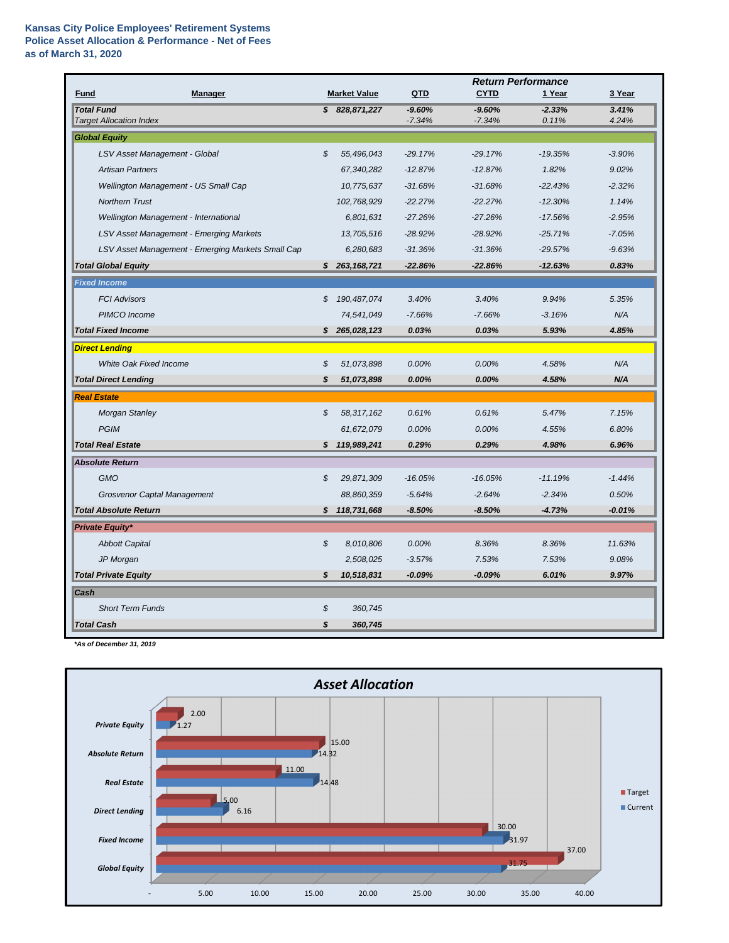|                                                     |    |                     | <b>Return Performance</b> |                      |                   |                |
|-----------------------------------------------------|----|---------------------|---------------------------|----------------------|-------------------|----------------|
| <b>Manager</b><br><b>Fund</b>                       |    | <b>Market Value</b> | QTD                       | <b>CYTD</b>          | 1 Year            | 3 Year         |
| <b>Total Fund</b><br><b>Target Allocation Index</b> |    | \$828,871,227       | $-9.60%$<br>$-7.34%$      | $-9.60%$<br>$-7.34%$ | $-2.33%$<br>0.11% | 3.41%<br>4.24% |
| <b>Global Equity</b>                                |    |                     |                           |                      |                   |                |
| LSV Asset Management - Global                       | \$ | 55,496,043          | $-29.17%$                 | $-29.17%$            | $-19.35%$         | $-3.90%$       |
| <b>Artisan Partners</b>                             |    | 67,340,282          | $-12.87%$                 | $-12.87%$            | 1.82%             | 9.02%          |
| Wellington Management - US Small Cap                |    | 10,775,637          | $-31.68%$                 | $-31.68%$            | $-22.43%$         | $-2.32%$       |
| <b>Northern Trust</b>                               |    | 102,768,929         | $-22.27%$                 | $-22.27%$            | $-12.30%$         | 1.14%          |
| Wellington Management - International               |    | 6,801,631           | $-27.26%$                 | $-27.26%$            | $-17.56%$         | $-2.95%$       |
| LSV Asset Management - Emerging Markets             |    | 13,705,516          | $-28.92%$                 | $-28.92%$            | $-25.71%$         | $-7.05%$       |
| LSV Asset Management - Emerging Markets Small Cap   |    | 6,280,683           | $-31.36%$                 | $-31.36%$            | $-29.57%$         | $-9.63%$       |
| <b>Total Global Equity</b>                          | S. | 263, 168, 721       | $-22.86%$                 | $-22.86%$            | $-12.63%$         | 0.83%          |
| <b>Fixed Income</b>                                 |    |                     |                           |                      |                   |                |
| <b>FCI Advisors</b>                                 | \$ | 190,487,074         | 3.40%                     | 3.40%                | 9.94%             | 5.35%          |
| PIMCO Income                                        |    | 74,541,049          | $-7.66%$                  | $-7.66%$             | $-3.16%$          | N/A            |
| <b>Total Fixed Income</b>                           | S. | 265,028,123         | 0.03%                     | 0.03%                | 5.93%             | 4.85%          |
| <b>Direct Lending</b>                               |    |                     |                           |                      |                   |                |
| White Oak Fixed Income                              | \$ | 51,073,898          | 0.00%                     | 0.00%                | 4.58%             | N/A            |
| <b>Total Direct Lending</b>                         | \$ | 51,073,898          | 0.00%                     | 0.00%                | 4.58%             | N/A            |
| <b>Real Estate</b>                                  |    |                     |                           |                      |                   |                |
| <b>Morgan Stanley</b>                               | \$ | 58,317,162          | 0.61%                     | 0.61%                | 5.47%             | 7.15%          |
| <b>PGIM</b>                                         |    | 61,672,079          | 0.00%                     | 0.00%                | 4.55%             | 6.80%          |
| <b>Total Real Estate</b>                            |    | \$19,989,241        | 0.29%                     | 0.29%                | 4.98%             | 6.96%          |
| <b>Absolute Return</b>                              |    |                     |                           |                      |                   |                |
| <b>GMO</b>                                          | \$ | 29,871,309          | $-16.05%$                 | $-16.05%$            | $-11.19%$         | $-1.44%$       |
| <b>Grosvenor Captal Management</b>                  |    | 88,860,359          | $-5.64%$                  | $-2.64%$             | $-2.34%$          | 0.50%          |
| <b>Total Absolute Return</b>                        | \$ | 118,731,668         | $-8.50%$                  | $-8.50%$             | $-4.73%$          | $-0.01%$       |
| <b>Private Equity*</b>                              |    |                     |                           |                      |                   |                |
| <b>Abbott Capital</b>                               | \$ | 8,010,806           | 0.00%                     | 8.36%                | 8.36%             | 11.63%         |
| JP Morgan                                           |    | 2,508,025           | $-3.57%$                  | 7.53%                | 7.53%             | 9.08%          |
| <b>Total Private Equity</b>                         | \$ | 10,518,831          | $-0.09%$                  | $-0.09%$             | 6.01%             | 9.97%          |
| Cash                                                |    |                     |                           |                      |                   |                |
| <b>Short Term Funds</b>                             | \$ | 360,745             |                           |                      |                   |                |
| <b>Total Cash</b>                                   | \$ | 360,745             |                           |                      |                   |                |

*\*As of December 31, 2019*